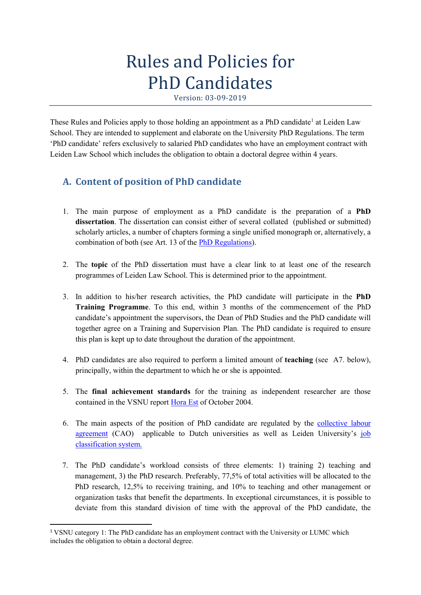# Rules and Policies for PhD Candidates

These Rules and Policies apply to those holding an appointment as a PhD candidate<sup>[1](#page-0-0)</sup> at Leiden Law School. They are intended to supplement and elaborate on the University PhD Regulations. The term 'PhD candidate' refers exclusively to salaried PhD candidates who have an employment contract with Leiden Law School which includes the obligation to obtain a doctoral degree within 4 years.

# **A. Content of position of PhD candidate**

- 1. The main purpose of employment as a PhD candidate is the preparation of a **PhD dissertation**. The dissertation can consist either of several collated (published or submitted) scholarly articles, a number of chapters forming a single unified monograph or, alternatively, a combination of both (see Art. 13 of the [PhD Regulations\)](https://www.organisatiegids.universiteitleiden.nl/binaries/content/assets/ul2staff/reglementen/onderzoek/promotiereglement/promotiereglement-2018-eng.pdf).
- 2. The **topic** of the PhD dissertation must have a clear link to at least one of the research programmes of Leiden Law School. This is determined prior to the appointment.
- 3. In addition to his/her research activities, the PhD candidate will participate in the **PhD Training Programme**. To this end, within 3 months of the commencement of the PhD candidate's appointment the supervisors, the Dean of PhD Studies and the PhD candidate will together agree on a Training and Supervision Plan. The PhD candidate is required to ensure this plan is kept up to date throughout the duration of the appointment.
- 4. PhD candidates are also required to perform a limited amount of **teaching** (see A7. below), principally, within the department to which he or she is appointed.
- 5. The **final achievement standards** for the training as independent researcher are those contained in the VSNU report [Hora Est](https://www.vsnu.nl/files/documenten/Domeinen/Onderzoek/2013%20PHD%20conference/Positionpaper_Hora_est!.pdf) of October 2004.
- 6. The main aspects of the position of PhD candidate are regulated by the [collective labour](https://www.staff.universiteitleiden.nl/human-resources/conditions-of-employment-salary-and-allowance/collective-labour-agreement-and-regulations/collective-labour-agreement-cao/law/fdr-board-office?cf=law&cd=fdr-board-office)  [agreement](https://www.staff.universiteitleiden.nl/human-resources/conditions-of-employment-salary-and-allowance/collective-labour-agreement-and-regulations/collective-labour-agreement-cao/law/fdr-board-office?cf=law&cd=fdr-board-office) (CAO) applicable to Dutch universities as well as Leiden University's job [classification system.](https://www.staff.universiteitleiden.nl/human-resources/conditions-of-employment-salary-and-allowance/salary/job-classification-and-evaluation/law?cf=law&protected=true)
- 7. The PhD candidate's workload consists of three elements: 1) training 2) teaching and management, 3) the PhD research. Preferably, 77,5% of total activities will be allocated to the PhD research, 12,5% to receiving training, and 10% to teaching and other management or organization tasks that benefit the departments. In exceptional circumstances, it is possible to deviate from this standard division of time with the approval of the PhD candidate, the

<span id="page-0-0"></span> <sup>1</sup> VSNU category 1: The PhD candidate has an employment contract with the University or LUMC which includes the obligation to obtain a doctoral degree.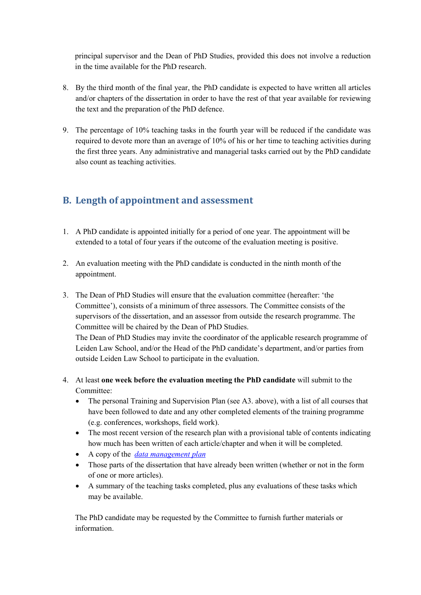principal supervisor and the Dean of PhD Studies, provided this does not involve a reduction in the time available for the PhD research.

- 8. By the third month of the final year, the PhD candidate is expected to have written all articles and/or chapters of the dissertation in order to have the rest of that year available for reviewing the text and the preparation of the PhD defence.
- 9. The percentage of 10% teaching tasks in the fourth year will be reduced if the candidate was required to devote more than an average of 10% of his or her time to teaching activities during the first three years. Any administrative and managerial tasks carried out by the PhD candidate also count as teaching activities.

## **B. Length of appointment and assessment**

- 1. A PhD candidate is appointed initially for a period of one year. The appointment will be extended to a total of four years if the outcome of the evaluation meeting is positive.
- 2. An evaluation meeting with the PhD candidate is conducted in the ninth month of the appointment.
- 3. The Dean of PhD Studies will ensure that the evaluation committee (hereafter: 'the Committee'), consists of a minimum of three assessors. The Committee consists of the supervisors of the dissertation, and an assessor from outside the research programme. The Committee will be chaired by the Dean of PhD Studies. The Dean of PhD Studies may invite the coordinator of the applicable research programme of Leiden Law School, and/or the Head of the PhD candidate's department, and/or parties from

outside Leiden Law School to participate in the evaluation.

- 4. At least **one week before the evaluation meeting the PhD candidate** will submit to the Committee:
	- The personal Training and Supervision Plan (see A3. above), with a list of all courses that have been followed to date and any other completed elements of the training programme (e.g. conferences, workshops, field work).
	- The most recent version of the research plan with a provisional table of contents indicating how much has been written of each article/chapter and when it will be completed.
	- A copy of the *[data management plan](https://www.staff.universiteitleiden.nl/ict/it-and-research/research-data/data-management/law/fdr-board-office?cf=law&cd=fdr-board-office#tab-1)*
	- Those parts of the dissertation that have already been written (whether or not in the form of one or more articles).
	- A summary of the teaching tasks completed, plus any evaluations of these tasks which may be available.

The PhD candidate may be requested by the Committee to furnish further materials or information.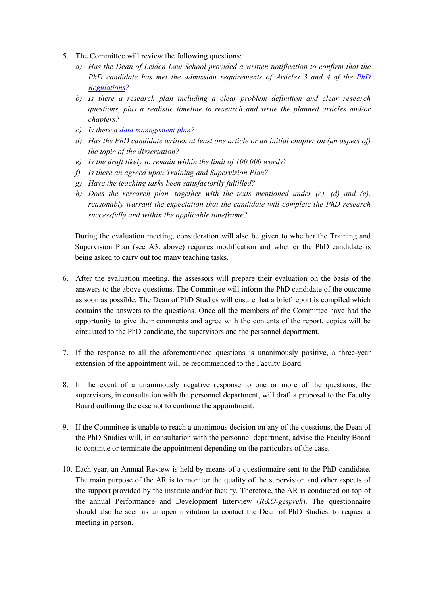- 5. The Committee will review the following questions:
	- *a) Has the Dean of Leiden Law School provided a written notification to confirm that the PhD candidate has met the admission requirements of Articles 3 and 4 of the [PhD](https://www.staff.universiteitleiden.nl/research/phds/forms-and-regulations/forms-and-regulations/law/fdr-board-office?cf=law&cd=fdr-board-office#tab-1)  [Regulations?](https://www.staff.universiteitleiden.nl/research/phds/forms-and-regulations/forms-and-regulations/law/fdr-board-office?cf=law&cd=fdr-board-office#tab-1)*
	- *b) Is there a research plan including a clear problem definition and clear research questions, plus a realistic timeline to research and write the planned articles and/or chapters?*
	- *c) Is there a [data management plan?](https://www.staff.universiteitleiden.nl/ict/it-and-research/research-data/data-management/law/fdr-board-office?cf=law#tab-2)*
	- *d) Has the PhD candidate written at least one article or an initial chapter on (an aspect of) the topic of the dissertation?*
	- *e) Is the draft likely to remain within the limit of 100,000 words?*
	- *f) Is there an agreed upon Training and Supervision Plan?*
	- *g) Have the teaching tasks been satisfactorily fulfilled?*
	- *h) Does the research plan, together with the texts mentioned under (c), (d) and (e), reasonably warrant the expectation that the candidate will complete the PhD research successfully and within the applicable timeframe?*

During the evaluation meeting, consideration will also be given to whether the Training and Supervision Plan (see A3. above) requires modification and whether the PhD candidate is being asked to carry out too many teaching tasks.

- 6. After the evaluation meeting, the assessors will prepare their evaluation on the basis of the answers to the above questions. The Committee will inform the PhD candidate of the outcome as soon as possible. The Dean of PhD Studies will ensure that a brief report is compiled which contains the answers to the questions. Once all the members of the Committee have had the opportunity to give their comments and agree with the contents of the report, copies will be circulated to the PhD candidate, the supervisors and the personnel department.
- 7. If the response to all the aforementioned questions is unanimously positive, a three-year extension of the appointment will be recommended to the Faculty Board.
- 8. In the event of a unanimously negative response to one or more of the questions, the supervisors, in consultation with the personnel department, will draft a proposal to the Faculty Board outlining the case not to continue the appointment.
- 9. If the Committee is unable to reach a unanimous decision on any of the questions, the Dean of the PhD Studies will, in consultation with the personnel department, advise the Faculty Board to continue or terminate the appointment depending on the particulars of the case.
- 10. Each year, an Annual Review is held by means of a questionnaire sent to the PhD candidate. The main purpose of the AR is to monitor the quality of the supervision and other aspects of the support provided by the institute and/or faculty. Therefore, the AR is conducted on top of the annual Performance and Development Interview (*R&O-gesprek*). The questionnaire should also be seen as an open invitation to contact the Dean of PhD Studies, to request a meeting in person.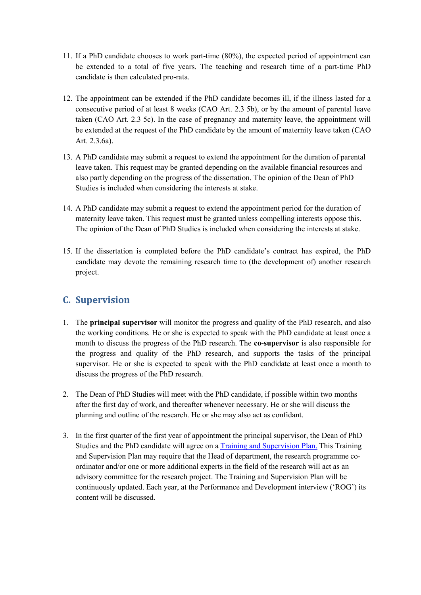- 11. If a PhD candidate chooses to work part-time (80%), the expected period of appointment can be extended to a total of five years. The teaching and research time of a part-time PhD candidate is then calculated pro-rata.
- 12. The appointment can be extended if the PhD candidate becomes ill, if the illness lasted for a consecutive period of at least 8 weeks (CAO Art. 2.3 5b), or by the amount of parental leave taken (CAO Art. 2.3 5c). In the case of pregnancy and maternity leave, the appointment will be extended at the request of the PhD candidate by the amount of maternity leave taken (CAO Art. 2.3.6a).
- 13. A PhD candidate may submit a request to extend the appointment for the duration of parental leave taken. This request may be granted depending on the available financial resources and also partly depending on the progress of the dissertation. The opinion of the Dean of PhD Studies is included when considering the interests at stake.
- 14. A PhD candidate may submit a request to extend the appointment period for the duration of maternity leave taken. This request must be granted unless compelling interests oppose this. The opinion of the Dean of PhD Studies is included when considering the interests at stake.
- 15. If the dissertation is completed before the PhD candidate's contract has expired, the PhD candidate may devote the remaining research time to (the development of) another research project.

### **C. Supervision**

- 1. The **principal supervisor** will monitor the progress and quality of the PhD research, and also the working conditions. He or she is expected to speak with the PhD candidate at least once a month to discuss the progress of the PhD research. The **co-supervisor** is also responsible for the progress and quality of the PhD research, and supports the tasks of the principal supervisor. He or she is expected to speak with the PhD candidate at least once a month to discuss the progress of the PhD research.
- 2. Th[e Dean](http://www.law.leiden.edu/organisation/meijers/staff/smithce.html) of PhD Studies will meet with the PhD candidate, if possible within two months after the first day of work, and thereafter whenever necessary. He or she will discuss the planning and outline of the research. He or she may also act as confidant.
- 3. In the first quarter of the first year of appointment the principal supervisor, the Dean of PhD Studies and the PhD candidate will agree on a [Training and Supervision Plan.](https://www.staff.universiteitleiden.nl/research/phds/forms-and-regulations/forms-and-regulations/law?_ga=2.31496318.1979416313.1567667719-476855869.1554186488&cf=law#tab-2) This Training and Supervision Plan may require that the Head of department, the research programme coordinator and/or one or more additional experts in the field of the research will act as an advisory committee for the research project. The Training and Supervision Plan will be continuously updated. Each year, at the Performance and Development interview ('ROG') its content will be discussed.